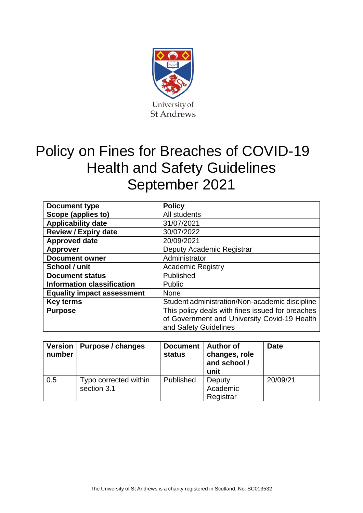

# Policy on Fines for Breaches of COVID-19 Health and Safety Guidelines September 2021

| Document type                     | <b>Policy</b>                                    |  |  |
|-----------------------------------|--------------------------------------------------|--|--|
| Scope (applies to)                | All students                                     |  |  |
| <b>Applicability date</b>         | 31/07/2021                                       |  |  |
| <b>Review / Expiry date</b>       | 30/07/2022                                       |  |  |
| <b>Approved date</b>              | 20/09/2021                                       |  |  |
| <b>Approver</b>                   | Deputy Academic Registrar                        |  |  |
| <b>Document owner</b>             | Administrator                                    |  |  |
| School / unit                     | <b>Academic Registry</b>                         |  |  |
| <b>Document status</b>            | Published                                        |  |  |
| <b>Information classification</b> | Public                                           |  |  |
| <b>Equality impact assessment</b> | <b>None</b>                                      |  |  |
| <b>Key terms</b>                  | Student administration/Non-academic discipline   |  |  |
| <b>Purpose</b>                    | This policy deals with fines issued for breaches |  |  |
|                                   | of Government and University Covid-19 Health     |  |  |
|                                   | and Safety Guidelines                            |  |  |

| <b>Version</b><br>number | Purpose / changes                    | Document   Author of<br><b>status</b> | changes, role<br>and school /<br>unit | <b>Date</b> |
|--------------------------|--------------------------------------|---------------------------------------|---------------------------------------|-------------|
| 0.5                      | Typo corrected within<br>section 3.1 | Published                             | Deputy<br>Academic<br>Registrar       | 20/09/21    |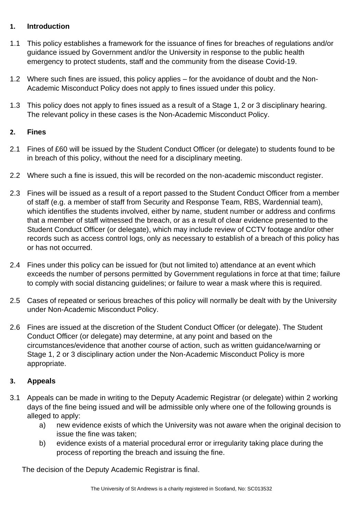### **1. Introduction**

- 1.1 This policy establishes a framework for the issuance of fines for breaches of regulations and/or guidance issued by Government and/or the University in response to the public health emergency to protect students, staff and the community from the disease Covid-19.
- 1.2 Where such fines are issued, this policy applies for the avoidance of doubt and the Non-Academic Misconduct Policy does not apply to fines issued under this policy.
- 1.3 This policy does not apply to fines issued as a result of a Stage 1, 2 or 3 disciplinary hearing. The relevant policy in these cases is the Non-Academic Misconduct Policy.

### **2. Fines**

- 2.1 Fines of £60 will be issued by the Student Conduct Officer (or delegate) to students found to be in breach of this policy, without the need for a disciplinary meeting.
- 2.2 Where such a fine is issued, this will be recorded on the non-academic misconduct register.
- 2.3 Fines will be issued as a result of a report passed to the Student Conduct Officer from a member of staff (e.g. a member of staff from Security and Response Team, RBS, Wardennial team), which identifies the students involved, either by name, student number or address and confirms that a member of staff witnessed the breach, or as a result of clear evidence presented to the Student Conduct Officer (or delegate), which may include review of CCTV footage and/or other records such as access control logs, only as necessary to establish of a breach of this policy has or has not occurred.
- 2.4 Fines under this policy can be issued for (but not limited to) attendance at an event which exceeds the number of persons permitted by Government regulations in force at that time; failure to comply with social distancing guidelines; or failure to wear a mask where this is required.
- 2.5 Cases of repeated or serious breaches of this policy will normally be dealt with by the University under Non-Academic Misconduct Policy.
- 2.6 Fines are issued at the discretion of the Student Conduct Officer (or delegate). The Student Conduct Officer (or delegate) may determine, at any point and based on the circumstances/evidence that another course of action, such as written guidance/warning or Stage 1, 2 or 3 disciplinary action under the Non-Academic Misconduct Policy is more appropriate.

## **3. Appeals**

- 3.1 Appeals can be made in writing to the Deputy Academic Registrar (or delegate) within 2 working days of the fine being issued and will be admissible only where one of the following grounds is alleged to apply:
	- a) new evidence exists of which the University was not aware when the original decision to issue the fine was taken;
	- b) evidence exists of a material procedural error or irregularity taking place during the process of reporting the breach and issuing the fine.

The decision of the Deputy Academic Registrar is final.